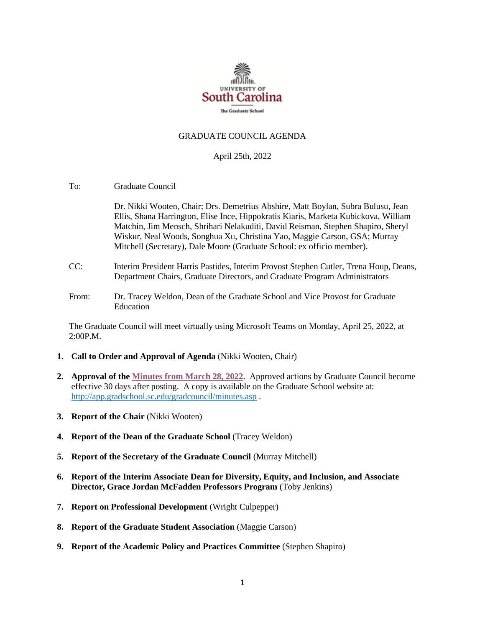

#### GRADUATE COUNCIL AGENDA

#### April 25th, 2022

To: Graduate Council

Dr. Nikki Wooten, Chair; Drs. Demetrius Abshire, Matt Boylan, Subra Bulusu, Jean Ellis, Shana Harrington, Elise Ince, Hippokratis Kiaris, Marketa Kubickova, William Matchin, Jim Mensch, Shrihari Nelakuditi, David Reisman, Stephen Shapiro, Sheryl Wiskur, Neal Woods, Songhua Xu, Christina Yao, Maggie Carson, GSA; Murray Mitchell (Secretary), Dale Moore (Graduate School: ex officio member).

- CC: Interim President Harris Pastides, Interim Provost Stephen Cutler, Trena Houp, Deans, Department Chairs, Graduate Directors, and Graduate Program Administrators
- From: Dr. Tracey Weldon, Dean of the Graduate School and Vice Provost for Graduate Education

The Graduate Council will meet virtually using Microsoft Teams on Monday, April 25, 2022, at 2:00P.M.

- **1. Call to Order and Approval of Agenda** (Nikki Wooten, Chair)
- **2. Approval of th[e Minutes from March](GCMINUTES%203.28.22%20MM%20(003).pdf) 28, 2022**. Approved actions by Graduate Council become effective 30 days after posting. A copy is available on the Graduate School website at: <http://app.gradschool.sc.edu/gradcouncil/minutes.asp> .
- **3. Report of the Chair** (Nikki Wooten)
- **4. Report of the Dean of the Graduate School** (Tracey Weldon)
- **5. Report of the Secretary of the Graduate Council** (Murray Mitchell)
- **6. Report of the Interim Associate Dean for Diversity, Equity, and Inclusion, and Associate Director, Grace Jordan McFadden Professors Program** (Toby Jenkins)
- **7. Report on Professional Development** (Wright Culpepper)
- **8. Report of the Graduate Student Association** (Maggie Carson)
- **9. Report of the Academic Policy and Practices Committee** (Stephen Shapiro)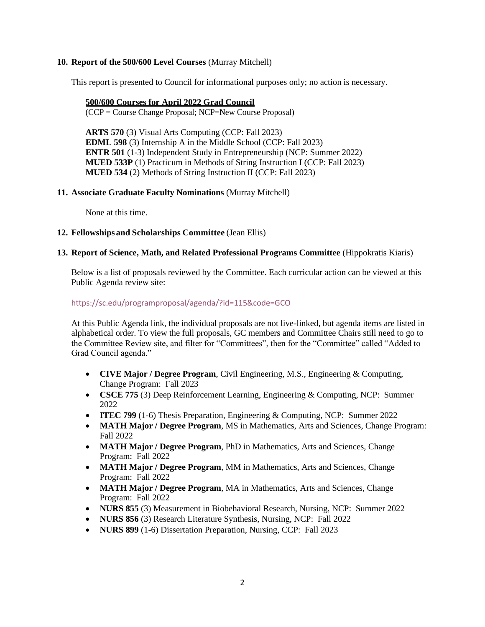#### **10. Report of the 500/600 Level Courses** (Murray Mitchell)

This report is presented to Council for informational purposes only; no action is necessary.

#### **500/600 Courses for April 2022 Grad Council**

(CCP = Course Change Proposal; NCP=New Course Proposal)

**ARTS 570** (3) Visual Arts Computing (CCP: Fall 2023) **EDML 598** (3) Internship A in the Middle School (CCP: Fall 2023) **ENTR 501** (1-3) Independent Study in Entrepreneurship (NCP: Summer 2022) **MUED 533P** (1) Practicum in Methods of String Instruction I (CCP: Fall 2023) **MUED 534** (2) Methods of String Instruction II (CCP: Fall 2023)

## **11. Associate Graduate Faculty Nominations** (Murray Mitchell)

None at this time.

## **12. Fellowships and Scholarships Committee** (Jean Ellis)

# **13. Report of Science, Math, and Related Professional Programs Committee** (Hippokratis Kiaris)

Below is a list of proposals reviewed by the Committee. Each curricular action can be viewed at this Public Agenda review site:

## <https://sc.edu/programproposal/agenda/?id=115&code=GCO>

At this Public Agenda link, the individual proposals are not live-linked, but agenda items are listed in alphabetical order. To view the full proposals, GC members and Committee Chairs still need to go to the Committee Review site, and filter for "Committees", then for the "Committee" called "Added to Grad Council agenda."

- **CIVE Major / Degree Program**, Civil Engineering, M.S., Engineering & Computing, Change Program: Fall 2023
- **CSCE 775** (3) Deep Reinforcement Learning, Engineering & Computing, NCP: Summer 2022
- **ITEC 799** (1-6) Thesis Preparation, Engineering & Computing, NCP: Summer 2022
- **MATH Major / Degree Program, MS** in Mathematics, Arts and Sciences, Change Program: Fall 2022
- **MATH Major / Degree Program**, PhD in Mathematics, Arts and Sciences, Change Program: Fall 2022
- **MATH Major / Degree Program**, MM in Mathematics, Arts and Sciences, Change Program: Fall 2022
- **MATH Major / Degree Program**, MA in Mathematics, Arts and Sciences, Change Program: Fall 2022
- **NURS 855** (3) Measurement in Biobehavioral Research, Nursing, NCP: Summer 2022
- **NURS 856** (3) Research Literature Synthesis, Nursing, NCP: Fall 2022
- **NURS 899** (1-6) Dissertation Preparation, Nursing, CCP: Fall 2023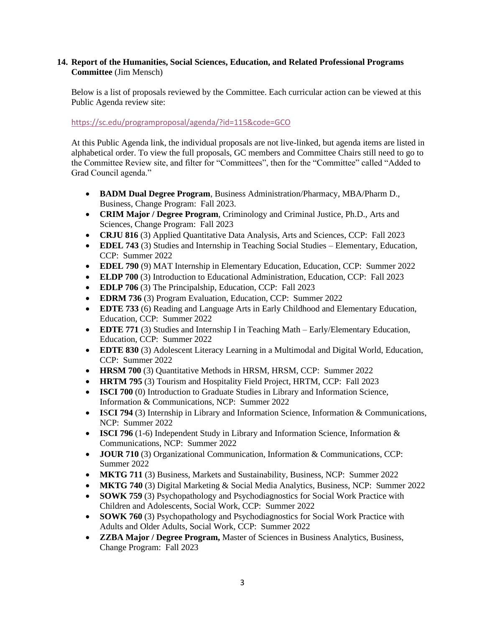## **14. Report of the Humanities, Social Sciences, Education, and Related Professional Programs Committee** (Jim Mensch)

Below is a list of proposals reviewed by the Committee. Each curricular action can be viewed at this Public Agenda review site:

<https://sc.edu/programproposal/agenda/?id=115&code=GCO>

At this Public Agenda link, the individual proposals are not live-linked, but agenda items are listed in alphabetical order. To view the full proposals, GC members and Committee Chairs still need to go to the Committee Review site, and filter for "Committees", then for the "Committee" called "Added to Grad Council agenda."

- **BADM Dual Degree Program**, Business Administration/Pharmacy, MBA/Pharm D., Business, Change Program: Fall 2023.
- **CRIM Major / Degree Program**, Criminology and Criminal Justice, Ph.D., Arts and Sciences, Change Program: Fall 2023
- **CRJU 816** (3) Applied Quantitative Data Analysis, Arts and Sciences, CCP: Fall 2023
- **EDEL 743** (3) Studies and Internship in Teaching Social Studies Elementary, Education, CCP: Summer 2022
- **EDEL 790** (9) MAT Internship in Elementary Education, Education, CCP: Summer 2022
- **ELDP 700** (3) Introduction to Educational Administration, Education, CCP: Fall 2023
- **EDLP 706** (3) The Principalship, Education, CCP: Fall 2023
- **EDRM 736** (3) Program Evaluation, Education, CCP: Summer 2022
- **EDTE 733** (6) Reading and Language Arts in Early Childhood and Elementary Education, Education, CCP: Summer 2022
- **EDTE 771** (3) Studies and Internship I in Teaching Math Early/Elementary Education, Education, CCP: Summer 2022
- **EDTE 830** (3) Adolescent Literacy Learning in a Multimodal and Digital World, Education, CCP: Summer 2022
- **HRSM 700** (3) Quantitative Methods in HRSM, HRSM, CCP: Summer 2022
- **HRTM 795** (3) Tourism and Hospitality Field Project, HRTM, CCP: Fall 2023
- **ISCI 700** (0) Introduction to Graduate Studies in Library and Information Science, Information & Communications, NCP: Summer 2022
- **I**S**CI 794** (3) Internship in Library and Information Science, Information & Communications, NCP: Summer 2022
- **ISCI 796** (1-6) Independent Study in Library and Information Science, Information & Communications, NCP: Summer 2022
- **JOUR 710** (3) Organizational Communication, Information & Communications, CCP: Summer 2022
- **MKTG 711** (3) Business, Markets and Sustainability, Business, NCP: Summer 2022
- **MKTG 740** (3) Digital Marketing & Social Media Analytics, Business, NCP: Summer 2022
- **SOWK 759** (3) Psychopathology and Psychodiagnostics for Social Work Practice with Children and Adolescents, Social Work, CCP: Summer 2022
- **SOWK 760** (3) Psychopathology and Psychodiagnostics for Social Work Practice with Adults and Older Adults, Social Work, CCP: Summer 2022
- **ZZBA Major / Degree Program,** Master of Sciences in Business Analytics, Business, Change Program: Fall 2023